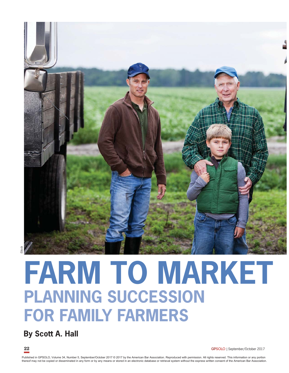

### iStock

# **FARM TO MARKET PLANNING SUCCESSION FOR FAMILY FARMERS**

## **By Scott A. Hall**

**22 GPSOLO** | September/October 2017

Published in GPSOLO, Volume 34, Number 5, September/October 2017 © 2017 by the American Bar Association. Reproduced with permission. All rights reserved. This information or any portion thereof may not be copied or disseminated in any form or by any means or stored in an electronic database or retrieval system without the express written consent of the American Bar Association.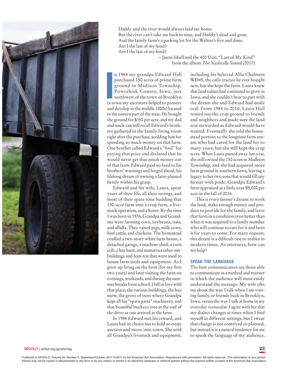

Daddy said the river would always lead me home. But the river can't take me back in time, and Daddy's dead and gone. And the family farm's a parking lot for the Walton's five and dime. Am I the last of my kind? Am I the last of my kind? —Jason Isbell and the 400 Unit, "Last of My Kind"

from the album *The Nashville Sound* (2017)

n 1964 my grandpa Edward Hall<br>purchased 150 acres of prime farm<br>ground in Madison Township,<br>Poweshiek County, Iowa, just<br>northwest of the town of Brooklyn<br>(a town my ancestors helped to pioneer n 1964 my grandpa Edward Hall purchased 150 acres of prime farm ground in Madison Township, Poweshiek County, Iowa, just northwest of the town of Brooklyn and develop in the middle 1800s) located in the eastern part of the state. He bought the ground for \$350 per acre, and my dad and uncle can still recall Edward's brothers gathered in the family living room right after the purchase, scolding him for spending so much money on that farm. One brother called Edward a "fool" for paying that price and declared that he would never get that much money out of that farm. Edward paid no heed to his brothers' warnings and forged ahead, his lifelong dream of owning a farm planted firmly within his grasp.

Edward and his wife, Laura, spent years of their life, all their savings, and most of their spare time building that 150-acre farm into a crop farm, a livestock operation, and a home. By the time I was born in 1976, Grandpa and Grandma were farming corn, soybeans, oats, and alfalfa. They raised pigs, milk cows, beef cattle, and chickens. The homestead cradled a two-story white farm house, a detached garage, a machine shed, a corn crib, a hay barn, and numerous other outbuildings and lean-tos that were used to house farm tools and equipment. As I grew up living on the farm (for my first two years) and later visiting the farm on evenings, weekends, and during the summer breaks from school, I fell in love with that place, the various buildings, the hay mow, the grove of trees where Grandpa kept all his "spare parts" machinery, and that beautiful buckeye tree at the end of the drive as one arrived at the farm.

In 1984 Edward met his reward, and Laura had no choice but to hold an estate auction and move into town. She sold all Grandpa's livestock and equipment, including his beloved Allis Chalmers WD45, the only tractor he ever bought new, but she kept the farm. Laura knew that land values had continued to grow in Iowa, and she couldn't bear to part with the dream she and Edward had made real. From 1984 to 2016, Laura Hall rented out the crop ground to friends and neighbors and made sure the land was stewarded as Edward would have wanted. Eventually she sold the homestead portion to the longtime farm tenant who had cared for the land for so many years, but she still kept the crop acres. When Laura passed away last year, she still owned the 150 acres in Madison Township, and she had acquired more farm ground in southern Iowa, leaving a legacy to her two sons that would fill any farmer with pride. Grandpa Edward's farm appraised at a little over \$9,000 per acre in the fall of 2016.

This is every farmer's dream: to work the land, make enough money and produce to provide for the family, and leave that farm in a condition even better than when it was acquired to a family member who will continue to care for it and farm it for years to come. For many reasons, this dream is a difficult one to realize in modern times. As attorneys, how can we help?

#### **SPEAK THE LANGUAGE**

The best communicators are those able to communicate in a method and manner in which the audience will most easily understand the message. My wife ribs me about the way I talk when I am visiting family or friends back in Brooklyn, Iowa, versus the way I talk at home in my everyday vernacular. I agree with her that my dialect changes at times when I find myself in different settings, but I swear that change is not contrived or planned, but instead it is a natural tendency for me to speak the language of my audience,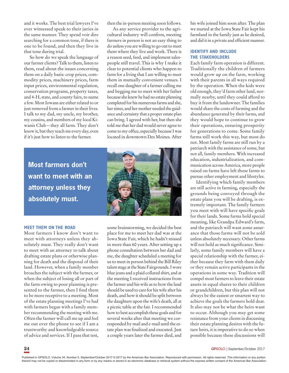and it works. The best trial lawyers I've ever witnessed speak to their juries in the same manner. They spend voir dire searching for a common tone, if there is one to be found, and then they live in that tone during trial.

So how do we speak the language of our farmer clients? Talk to them, listen to them, read about the issues concerning them on a daily basis: crop prices, commodity prices, machinery prices, farm input prices, environmental regulation, conservation programs, property taxes, and 4-H, state, and county fairs, to name a few. Most Iowans are either related to or just removed from a farmer in their lives. I talk to my dad, my uncle, my brother, my cousins, and members of my local Kiwanis Club—they all farm. They don't know it, but they teach me every day, even if it's just how to listen to the farmer.

then the in-person meeting soon follows.

As any service provider to the agricultural industry will confirm, meeting farmers in person is not an easy thing to do unless you are willing to go out to meet them where they live and work. There is a reason seed, feed, and implement salespeople still travel. This is why I make it clear to potential clients who happen to farm for a living that I am willing to meet them in mutually convenient venues. I recall one daughter of a farmer calling me and begging me to meet with her father because she knew he had no estate planning completed for his numerous farms and she, her sister, and her mother needed the guidance and certainty that a proper estate plan can bring. I agreed with her, but then she told me that her dad would never agree to come to my office, especially because I was located in downtown Des Moines. After



**Most farmers don't want to meet with an attorney unless they absolutely must.** 

#### **MEET THEM ON THE ROAD**

Most farmers I know don't want to meet with attorneys unless they absolutely must. They really don't want to meet with an attorney to talk about drafting estate plans or otherwise planning for death and the disposal of their land. However, when a family member broaches the subject with the farmer, or when the subject of losing all or part of the farm owing to poor planning is presented to the farmer, then I find them to be more receptive to a meeting. Most of the estate planning meetings I've had with farmers began with a family member recommending the meeting with me. Often the farmer will call me up and feel me out over the phone to see if I am a trustworthy and knowledgeable source of advice and services. If I pass that test, some brainstorming, we decided the best place for me to meet her dad was at the Iowa State Fair, which he hadn't missed in more than 60 years. After setting up a phone consultation between her dad and me, the daughter scheduled a meeting for us to meet in person behind the Bill Riley talent stage at the State Fairgrounds. I wore blue jeans and a plaid collared shirt, and at the meeting I received instructions from the farmer and his wife as to how the land should be used to care for his wife after his death, and how it should be split between the daughters upon the wife's death, all at a picnic table at the fair. I recommended how to best accomplish these goals and for several weeks after that meeting we corresponded by mail and e-mail until the estate plan was finalized and executed. Just a couple years later the farmer died, and his wife joined him soon after. The plan we started at the Iowa State Fair kept his farmland in the family just as he desired, and did it in a private and efficient manner.

#### **IDENTIFY AND INCLUDE THE STAKEHOLDERS**

Each family farm operation is different. Traditionally the children of farmers would grow up on the farm, working with their parents in all ways required by the operation. When the kids were old enough, they'd farm other land, normally nearby, until they could afford to buy it from the landowner. The families would share the costs of farming and the abundance generated by their farms, and they would hope to continue to grow their operations, ensuring prosperity for generations to come. Some family farms still work this way, but most do not. Most family farms are still run by a patriarch with the assistance of some, but not all, family members. With increased education, industrialization, and communication across America, more people raised on farms have left those farms to pursue other employment and lifestyles.

Identifying which family members are still active in farming, especially the grounds being conveyed through the estate plans you will be drafting, is extremely important. The family farmers you meet with will have specific goals for their lands. Some farms hold special meaning, like Grandpa Edward's farm, and the patriarch will want some assurance that those farms will not be sold unless absolutely necessary. Other farms will not hold as much significance. Similarly, some family members will have a special relationship with the farmer, either because they farm with them daily or they remain active participants in the operations in some way. Tradition will compel most farmers to leave their estate assets in equal shares to their children or grandchildren, but this plan will not always be the easiest or smartest way to achieve the goals the farmers hold dear. It also may not be what the heirs want to occur. Although you may get some resistance from your clients in discussing their estate planning desires with the future heirs, it is imperative to do so when possible because these discussions will